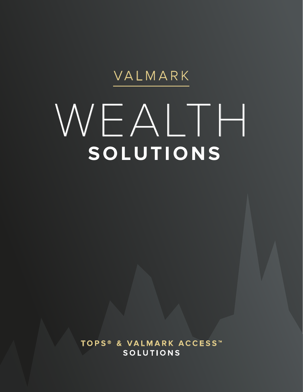## VALMARK

# WEALTH **SOLUTIONS**

**TOPS ® & VALMARK ACCESS ™ SOLUTIONS**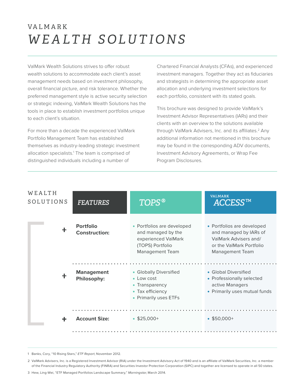## VA L M A R K *WEALTH SOLUTIONS*

ValMark Wealth Solutions strives to offer robust wealth solutions to accommodate each client's asset management needs based on investment philosophy, overall financial picture, and risk tolerance. Whether the preferred management style is active security selection or strategic indexing, ValMark Wealth Solutions has the tools in place to establish investment portfolios unique to each client's situation.

For more than a decade the experienced ValMark Portfolio Management Team has established themselves as industry-leading strategic investment allocation specialists.<sup>1</sup> The team is comprised of distinguished individuals including a number of

Chartered Financial Analysts (CFAs), and experienced investment managers. Together they act as fiduciaries and strategists in determining the appropriate asset allocation and underlying investment selections for each portfolio, consistent with its stated goals.

This brochure was designed to provide ValMark's Investment Advisor Representatives (IARs) and their clients with an overview to the solutions available through ValMark Advisers, Inc. and its affiliates.<sup>2</sup> Any additional information not mentioned in this brochure may be found in the corresponding ADV documents, Investment Advisory Agreements, or Wrap Fee Program Disclosures.

| WEALTH<br>SOLUTIONS | <b>FEATURES</b>                          | <b>TOPS®</b>                                                                                                          | <b>VALMARK</b><br>ACCESS™                                                                                                           |
|---------------------|------------------------------------------|-----------------------------------------------------------------------------------------------------------------------|-------------------------------------------------------------------------------------------------------------------------------------|
| $\pm$               | <b>Portfolio</b><br><b>Construction:</b> | • Portfolios are developed<br>and managed by the<br>experienced ValMark<br>(TOPS) Portfolio<br><b>Management Team</b> | • Portfolios are developed<br>and managed by IARs of<br>ValMark Advisers and/<br>or the ValMark Portfolio<br><b>Management Team</b> |
| $\ddag$             | <b>Management</b><br>Philosophy:         | • Globally Diversified<br>• Low cost<br>• Transparency<br>• Tax efficiency<br>• Primarily uses ETFs                   | • Global Diversified<br>• Professionally selected<br>active Managers<br>• Primarily uses mutual funds                               |
|                     | <b>Account Size:</b>                     | $$25,000+$                                                                                                            | $$50,000+$                                                                                                                          |

1 Banks, Cory, "10 Rising Stars," ETF Report, November 2012.

2 ValMark Advisers, Inc. is a Registered Investment Advisor (RIA) under the Investment Advisory Act of 1940 and is an affiliate of ValMark Securities, Inc. a member of the Financial Industry Regulatory Authority (FINRA) and Securities Investor Protection Corporation (SIPC) and together are licensed to operate in all 50 states.

<sup>3</sup> Hew, Ling-Wei, "ETF Managed Portfolios Landscape Summary," Morningstar, March 2014.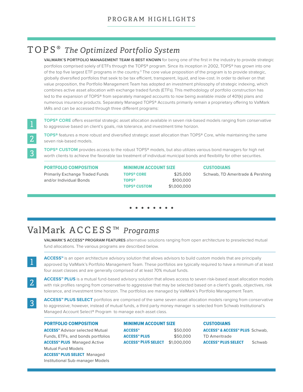## TOPS **®** *The Optimized Portfolio System*

**VALMARK'S PORTFOLIO MANAGEMENT TEAM IS BEST KNOWN** for being one of the first in the industry to provide strategic portfolios comprised solely of ETFs through the TOPS® program. Since its inception in 2002, TOPS® has grown into one of the top five largest ETF programs in the country.<sup>3</sup> The core value proposition of the program is to provide strategic, globally diversified portfolios that seek to be tax efficient, transparent, liquid, and low-cost. In order to deliver on that value proposition, the Portfolio Management Team has adopted an investment philosophy of strategic indexing, which combines active asset allocation with exchange traded funds (ETFs). This methodology of portfolio construction has led to the expansion of TOPS® from separately managed accounts to now being available inside of 401(k) plans and numerous insurance products. Separately Managed TOPS® Accounts primarily remain a proprietary offering to ValMark IARs and can be accessed through three different programs:

**TOPS® CORE** offers essential strategic asset allocation available in seven risk-based models ranging from conservative to aggressive based on client's goals, risk tolerance, and investment time horizon.

3

2

 $\overline{3}$ 

**TOPS®** features a more robust and diversified strategic asset allocation than TOPS® Core, while maintaining the same seven risk-based models.

**TOPS® CUSTOM** provides access to the robust TOPS® models, but also utilizes various bond managers for high net worth clients to achieve the favorable tax treatment of individual municipal bonds and flexibility for other securities.

#### PORTFOLIO COMPOSITION

Primarily Exchange Traded Funds and/or Individual Bonds

MINIMUM ACCOUNT SIZE TOPS**®** CORE \$25,000 TOPS**®** \$100,000 TOPS**®** CUSTOM \$1,000,000

CUSTODIANS Schwab, TD Ameritrade & Pershing

## ValMark ACCESS *™ Programs*

**VALMARK'S ACCESS™ PROGRAM FEATURES** alternative solutions ranging from open architecture to preselected mutual fund allocations. The various programs are described below.

**ACCESS™** is an open architecture advisory solution that allows advisors to build custom models that are principally approved by ValMark's Portfolio Management Team. These portfolios are typically required to have a minimum of at least four asset classes and are generally comprised of at least 70% mutual funds.

**ACCESS™ PLUS** is a mutual fund-based advisory solution that allows access to seven risk-based asset allocation models with risk profiles ranging from conservative to aggressive that may be selected based on a client's goals, objectives, risk tolerance, and investment time horizon. The portfolios are managed by ValMark's Portfolio Management Team.

**ACCESS™ PLUS SELECT** portfolios are comprised of the same seven asset allocation models ranging from conservative to aggressive; however, instead of mutual funds, a third party money manager is selected from Schwab Institutional's Managed Account Select® Program to manage each asset class.

#### PORTFOLIO COMPOSITION

ACCESS™ Advisor selected Mutual Funds, ETFs, and bonds portfolios ACCESS™ PLUS Managed Active Mutual Fund Models ACCESS™ PLUS SELECT Managed Institutional Sub-manager Models

MINIMUM ACCOUNT SIZE ACCESS™ \$50,000 ACCESS™ PLUS \$50,000 ACCESS™ PLUS SELECT \$1,000,000

### **CUSTODIANS**

ACCESS™ & ACCESS™ PLUS Schwab, TD Ameritrade ACCESS<sup>™</sup> PLUS SELECT Schwab